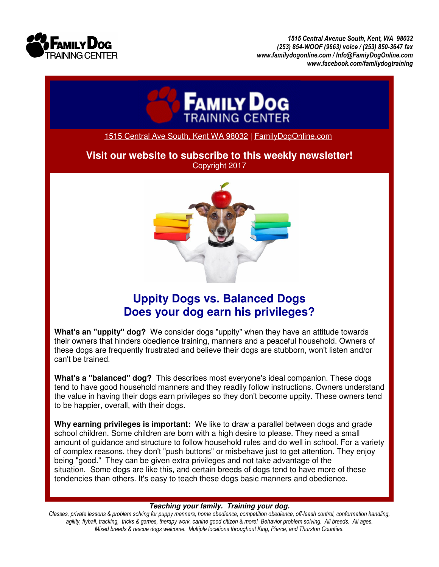

*1515 Central Avenue South, Kent, WA 98032 (253) 854-WOOF (9663) voice / (253) 850-3647 fax www.familydogonline.com / Info@FamiyDogOnline.com www.facebook.com/familydogtraining* 



1515 Central Ave South, Kent WA 98032 | FamilyDogOnline.com

**Visit our website to subscribe to this weekly newsletter!**  Copyright 2017



## **Uppity Dogs vs. Balanced Dogs Does your dog earn his privileges?**

**What's an "uppity" dog?** We consider dogs "uppity" when they have an attitude towards their owners that hinders obedience training, manners and a peaceful household. Owners of these dogs are frequently frustrated and believe their dogs are stubborn, won't listen and/or can't be trained.

**What's a "balanced" dog?** This describes most everyone's ideal companion. These dogs tend to have good household manners and they readily follow instructions. Owners understand the value in having their dogs earn privileges so they don't become uppity. These owners tend to be happier, overall, with their dogs.

**Why earning privileges is important:** We like to draw a parallel between dogs and grade school children. Some children are born with a high desire to please. They need a small amount of guidance and structure to follow household rules and do well in school. For a variety of complex reasons, they don't "push buttons" or misbehave just to get attention. They enjoy being "good." They can be given extra privileges and not take advantage of the situation. Some dogs are like this, and certain breeds of dogs tend to have more of these tendencies than others. It's easy to teach these dogs basic manners and obedience.

## **Teaching your family. Training your dog.**

*Classes, private lessons & problem solving for puppy manners, home obedience, competition obedience, off-leash control, conformation handling, agility, flyball, tracking, tricks & games, therapy work, canine good citizen & more! Behavior problem solving. All breeds. All ages. Mixed breeds & rescue dogs welcome. Multiple locations throughout King, Pierce, and Thurston Counties.*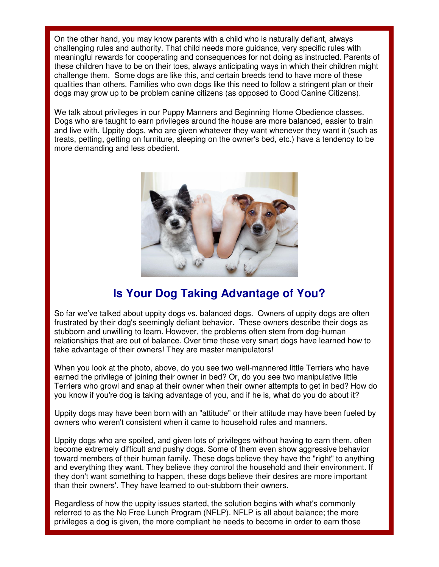On the other hand, you may know parents with a child who is naturally defiant, always challenging rules and authority. That child needs more guidance, very specific rules with meaningful rewards for cooperating and consequences for not doing as instructed. Parents of these children have to be on their toes, always anticipating ways in which their children might challenge them. Some dogs are like this, and certain breeds tend to have more of these qualities than others. Families who own dogs like this need to follow a stringent plan or their dogs may grow up to be problem canine citizens (as opposed to Good Canine Citizens).

We talk about privileges in our Puppy Manners and Beginning Home Obedience classes. Dogs who are taught to earn privileges around the house are more balanced, easier to train and live with. Uppity dogs, who are given whatever they want whenever they want it (such as treats, petting, getting on furniture, sleeping on the owner's bed, etc.) have a tendency to be more demanding and less obedient.



## **Is Your Dog Taking Advantage of You?**

So far we've talked about uppity dogs vs. balanced dogs. Owners of uppity dogs are often frustrated by their dog's seemingly defiant behavior. These owners describe their dogs as stubborn and unwilling to learn. However, the problems often stem from dog-human relationships that are out of balance. Over time these very smart dogs have learned how to take advantage of their owners! They are master manipulators!

When you look at the photo, above, do you see two well-mannered little Terriers who have earned the privilege of joining their owner in bed? Or, do you see two manipulative little Terriers who growl and snap at their owner when their owner attempts to get in bed? How do you know if you're dog is taking advantage of you, and if he is, what do you do about it?

Uppity dogs may have been born with an "attitude" or their attitude may have been fueled by owners who weren't consistent when it came to household rules and manners.

Uppity dogs who are spoiled, and given lots of privileges without having to earn them, often become extremely difficult and pushy dogs. Some of them even show aggressive behavior toward members of their human family. These dogs believe they have the "right" to anything and everything they want. They believe they control the household and their environment. If they don't want something to happen, these dogs believe their desires are more important than their owners'. They have learned to out-stubborn their owners.

Regardless of how the uppity issues started, the solution begins with what's commonly referred to as the No Free Lunch Program (NFLP). NFLP is all about balance; the more privileges a dog is given, the more compliant he needs to become in order to earn those